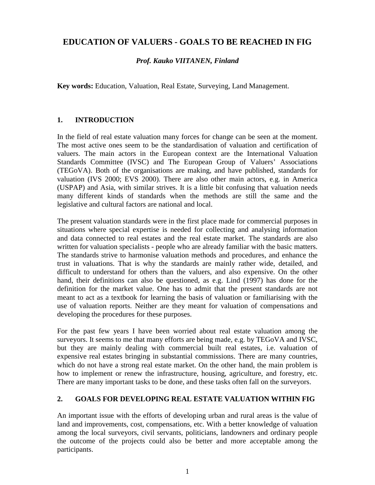# **EDUCATION OF VALUERS - GOALS TO BE REACHED IN FIG**

## *Prof. Kauko VIITANEN, Finland*

**Key words:** Education, Valuation, Real Estate, Surveying, Land Management.

## **1. INTRODUCTION**

In the field of real estate valuation many forces for change can be seen at the moment. The most active ones seem to be the standardisation of valuation and certification of valuers. The main actors in the European context are the International Valuation Standards Committee (IVSC) and The European Group of Valuers' Associations (TEGoVA). Both of the organisations are making, and have published, standards for valuation (IVS 2000; EVS 2000). There are also other main actors, e.g. in America (USPAP) and Asia, with similar strives. It is a little bit confusing that valuation needs many different kinds of standards when the methods are still the same and the legislative and cultural factors are national and local.

The present valuation standards were in the first place made for commercial purposes in situations where special expertise is needed for collecting and analysing information and data connected to real estates and the real estate market. The standards are also written for valuation specialists - people who are already familiar with the basic matters. The standards strive to harmonise valuation methods and procedures, and enhance the trust in valuations. That is why the standards are mainly rather wide, detailed, and difficult to understand for others than the valuers, and also expensive. On the other hand, their definitions can also be questioned, as e.g. Lind (1997) has done for the definition for the market value. One has to admit that the present standards are not meant to act as a textbook for learning the basis of valuation or familiarising with the use of valuation reports. Neither are they meant for valuation of compensations and developing the procedures for these purposes.

For the past few years I have been worried about real estate valuation among the surveyors. It seems to me that many efforts are being made, e.g. by TEGoVA and IVSC, but they are mainly dealing with commercial built real estates, i.e. valuation of expensive real estates bringing in substantial commissions. There are many countries, which do not have a strong real estate market. On the other hand, the main problem is how to implement or renew the infrastructure, housing, agriculture, and forestry, etc. There are many important tasks to be done, and these tasks often fall on the surveyors.

### **2. GOALS FOR DEVELOPING REAL ESTATE VALUATION WITHIN FIG**

An important issue with the efforts of developing urban and rural areas is the value of land and improvements, cost, compensations, etc. With a better knowledge of valuation among the local surveyors, civil servants, politicians, landowners and ordinary people the outcome of the projects could also be better and more acceptable among the participants.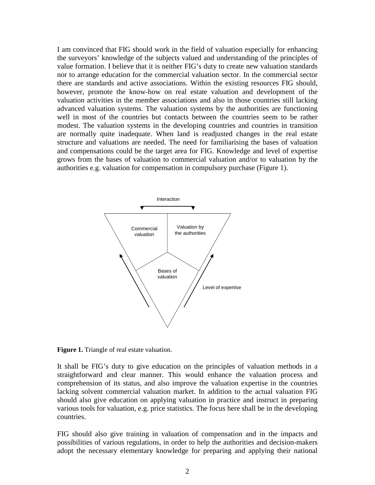I am convinced that FIG should work in the field of valuation especially for enhancing the surveyors' knowledge of the subjects valued and understanding of the principles of value formation. I believe that it is neither FIG's duty to create new valuation standards nor to arrange education for the commercial valuation sector. In the commercial sector there are standards and active associations. Within the existing resources FIG should, however, promote the know-how on real estate valuation and development of the valuation activities in the member associations and also in those countries still lacking advanced valuation systems. The valuation systems by the authorities are functioning well in most of the countries but contacts between the countries seem to be rather modest. The valuation systems in the developing countries and countries in transition are normally quite inadequate. When land is readjusted changes in the real estate structure and valuations are needed. The need for familiarising the bases of valuation and compensations could be the target area for FIG. Knowledge and level of expertise grows from the bases of valuation to commercial valuation and/or to valuation by the authorities e.g. valuation for compensation in compulsory purchase (Figure 1).



**Figure 1.** Triangle of real estate valuation.

It shall be FIG's duty to give education on the principles of valuation methods in a straightforward and clear manner. This would enhance the valuation process and comprehension of its status, and also improve the valuation expertise in the countries lacking solvent commercial valuation market. In addition to the actual valuation FIG should also give education on applying valuation in practice and instruct in preparing various tools for valuation, e.g. price statistics. The focus here shall be in the developing countries.

FIG should also give training in valuation of compensation and in the impacts and possibilities of various regulations, in order to help the authorities and decision-makers adopt the necessary elementary knowledge for preparing and applying their national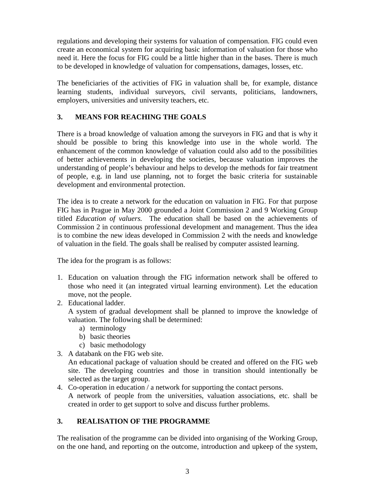regulations and developing their systems for valuation of compensation. FIG could even create an economical system for acquiring basic information of valuation for those who need it. Here the focus for FIG could be a little higher than in the bases. There is much to be developed in knowledge of valuation for compensations, damages, losses, etc.

The beneficiaries of the activities of FIG in valuation shall be, for example, distance learning students, individual surveyors, civil servants, politicians, landowners, employers, universities and university teachers, etc.

## **3. MEANS FOR REACHING THE GOALS**

There is a broad knowledge of valuation among the surveyors in FIG and that is why it should be possible to bring this knowledge into use in the whole world. The enhancement of the common knowledge of valuation could also add to the possibilities of better achievements in developing the societies, because valuation improves the understanding of people's behaviour and helps to develop the methods for fair treatment of people, e.g. in land use planning, not to forget the basic criteria for sustainable development and environmental protection.

The idea is to create a network for the education on valuation in FIG. For that purpose FIG has in Prague in May 2000 grounded a Joint Commission 2 and 9 Working Group titled *Education of valuers.* The education shall be based on the achievements of Commission 2 in continuous professional development and management. Thus the idea is to combine the new ideas developed in Commission 2 with the needs and knowledge of valuation in the field. The goals shall be realised by computer assisted learning.

The idea for the program is as follows:

- 1. Education on valuation through the FIG information network shall be offered to those who need it (an integrated virtual learning environment). Let the education move, not the people.
- 2. Educational ladder.

A system of gradual development shall be planned to improve the knowledge of valuation. The following shall be determined:

- a) terminology
- b) basic theories
- c) basic methodology
- 3. A databank on the FIG web site.

An educational package of valuation should be created and offered on the FIG web site. The developing countries and those in transition should intentionally be selected as the target group.

4. Co-operation in education / a network for supporting the contact persons.

A network of people from the universities, valuation associations, etc. shall be created in order to get support to solve and discuss further problems.

## **3. REALISATION OF THE PROGRAMME**

The realisation of the programme can be divided into organising of the Working Group, on the one hand, and reporting on the outcome, introduction and upkeep of the system,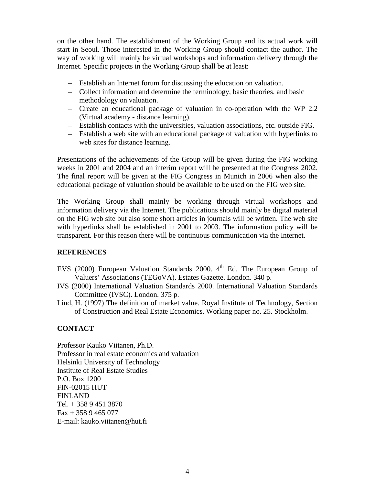on the other hand. The establishment of the Working Group and its actual work will start in Seoul. Those interested in the Working Group should contact the author. The way of working will mainly be virtual workshops and information delivery through the Internet. Specific projects in the Working Group shall be at least:

- Establish an Internet forum for discussing the education on valuation.
- Collect information and determine the terminology, basic theories, and basic methodology on valuation.
- Create an educational package of valuation in co-operation with the WP 2.2 (Virtual academy - distance learning).
- Establish contacts with the universities, valuation associations, etc. outside FIG.
- Establish a web site with an educational package of valuation with hyperlinks to web sites for distance learning.

Presentations of the achievements of the Group will be given during the FIG working weeks in 2001 and 2004 and an interim report will be presented at the Congress 2002. The final report will be given at the FIG Congress in Munich in 2006 when also the educational package of valuation should be available to be used on the FIG web site.

The Working Group shall mainly be working through virtual workshops and information delivery via the Internet. The publications should mainly be digital material on the FIG web site but also some short articles in journals will be written. The web site with hyperlinks shall be established in 2001 to 2003. The information policy will be transparent. For this reason there will be continuous communication via the Internet.

#### **REFERENCES**

- EVS (2000) European Valuation Standards 2000. 4<sup>th</sup> Ed. The European Group of Valuers' Associations (TEGoVA). Estates Gazette. London. 340 p.
- IVS (2000) International Valuation Standards 2000. International Valuation Standards Committee (IVSC). London. 375 p.
- Lind, H. (1997) The definition of market value. Royal Institute of Technology, Section of Construction and Real Estate Economics. Working paper no. 25. Stockholm.

### **CONTACT**

Professor Kauko Viitanen, Ph.D. Professor in real estate economics and valuation Helsinki University of Technology Institute of Real Estate Studies P.O. Box 1200 FIN-02015 HUT FINLAND Tel. + 358 9 451 3870  $Fax + 3589465077$ E-mail: kauko.viitanen@hut.fi